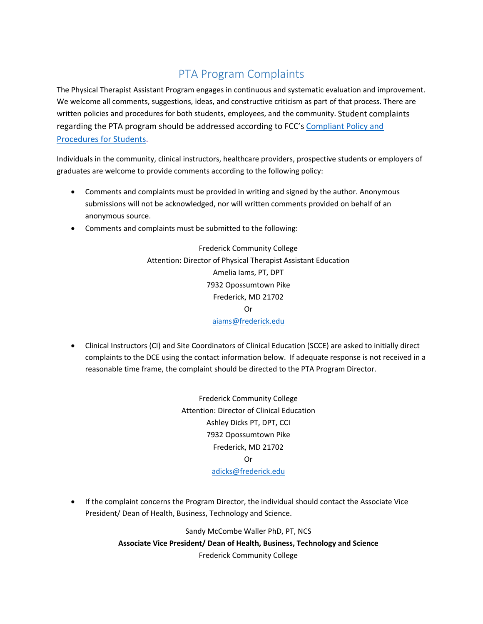## PTA Program Complaints

The Physical Therapist Assistant Program engages in continuous and systematic evaluation and improvement. We welcome all comments, suggestions, ideas, and constructive criticism as part of that process. There are written policies and procedures for both students, employees, and the community. Student complaints regarding the PTA program should be addressed according to FCC's Compliant Policy and Procedures for Students.

Individuals in the community, clinical instructors, healthcare providers, prospective students or employers of graduates are welcome to provide comments according to the following policy:

- Comments and complaints must be provided in writing and signed by the author. Anonymous submissions will not be acknowledged, nor will written comments provided on behalf of an anonymous source.
- Comments and complaints must be submitted to the following:

Frederick Community College Attention: Director of Physical Therapist Assistant Education Amelia Iams, PT, DPT 7932 Opossumtown Pike Frederick, MD 21702 Or aiams@frederick.edu

 Clinical Instructors (CI) and Site Coordinators of Clinical Education (SCCE) are asked to initially direct complaints to the DCE using the contact information below. If adequate response is not received in a reasonable time frame, the complaint should be directed to the PTA Program Director.

> Frederick Community College Attention: Director of Clinical Education Ashley Dicks PT, DPT, CCI 7932 Opossumtown Pike Frederick, MD 21702 Or adicks@frederick.edu

 If the complaint concerns the Program Director, the individual should contact the Associate Vice President/ Dean of Health, Business, Technology and Science.

> Sandy McCombe Waller PhD, PT, NCS **Associate Vice President/ Dean of Health, Business, Technology and Science** Frederick Community College